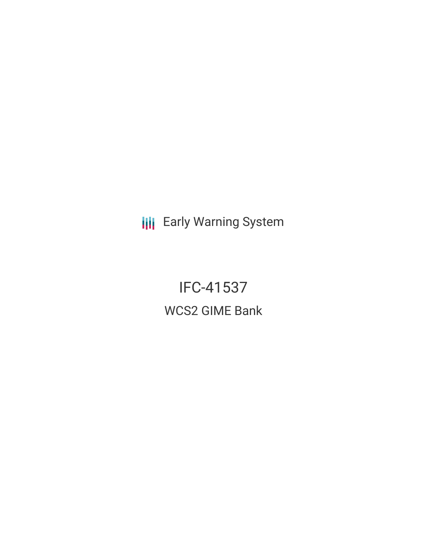**III** Early Warning System

IFC-41537 WCS2 GIME Bank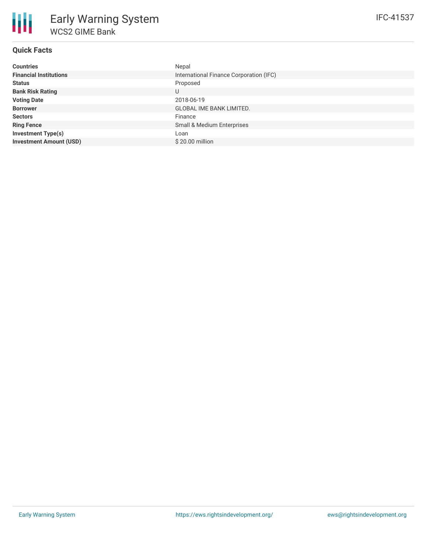# **Quick Facts**

| <b>Countries</b>               | Nepal                                   |
|--------------------------------|-----------------------------------------|
| <b>Financial Institutions</b>  | International Finance Corporation (IFC) |
| <b>Status</b>                  | Proposed                                |
| <b>Bank Risk Rating</b>        | U                                       |
| <b>Voting Date</b>             | 2018-06-19                              |
| <b>Borrower</b>                | <b>GLOBAL IME BANK LIMITED.</b>         |
| <b>Sectors</b>                 | Finance                                 |
| <b>Ring Fence</b>              | Small & Medium Enterprises              |
| <b>Investment Type(s)</b>      | Loan                                    |
| <b>Investment Amount (USD)</b> | \$20.00 million                         |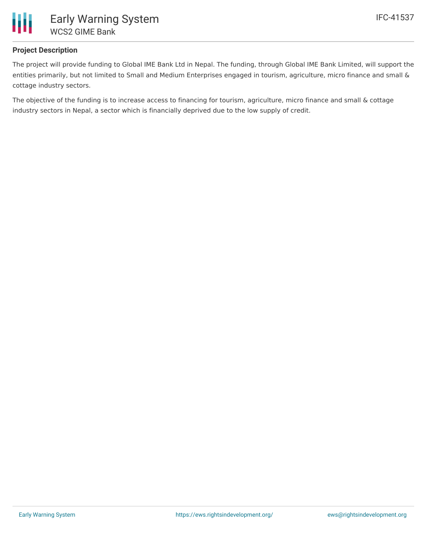

# **Project Description**

The project will provide funding to Global IME Bank Ltd in Nepal. The funding, through Global IME Bank Limited, will support the entities primarily, but not limited to Small and Medium Enterprises engaged in tourism, agriculture, micro finance and small & cottage industry sectors.

The objective of the funding is to increase access to financing for tourism, agriculture, micro finance and small & cottage industry sectors in Nepal, a sector which is financially deprived due to the low supply of credit.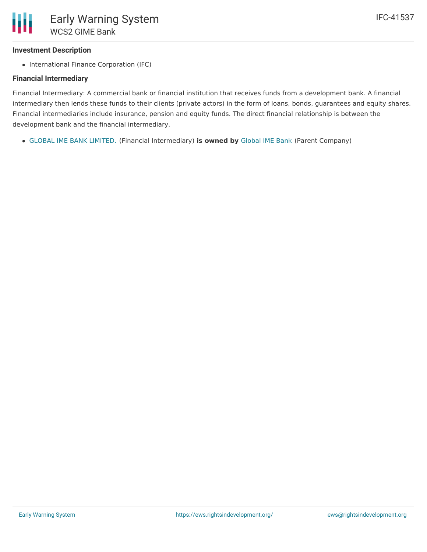## **Investment Description**

• International Finance Corporation (IFC)

#### **Financial Intermediary**

Financial Intermediary: A commercial bank or financial institution that receives funds from a development bank. A financial intermediary then lends these funds to their clients (private actors) in the form of loans, bonds, guarantees and equity shares. Financial intermediaries include insurance, pension and equity funds. The direct financial relationship is between the development bank and the financial intermediary.

GLOBAL IME BANK [LIMITED.](file:///actor/4035/) (Financial Intermediary) **is owned by** [Global](file:///actor/4040/) IME Bank (Parent Company)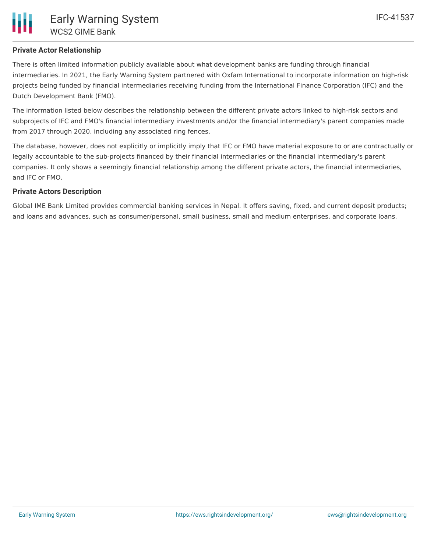# **Private Actor Relationship**

There is often limited information publicly available about what development banks are funding through financial intermediaries. In 2021, the Early Warning System partnered with Oxfam International to incorporate information on high-risk projects being funded by financial intermediaries receiving funding from the International Finance Corporation (IFC) and the Dutch Development Bank (FMO).

The information listed below describes the relationship between the different private actors linked to high-risk sectors and subprojects of IFC and FMO's financial intermediary investments and/or the financial intermediary's parent companies made from 2017 through 2020, including any associated ring fences.

The database, however, does not explicitly or implicitly imply that IFC or FMO have material exposure to or are contractually or legally accountable to the sub-projects financed by their financial intermediaries or the financial intermediary's parent companies. It only shows a seemingly financial relationship among the different private actors, the financial intermediaries, and IFC or FMO.

# **Private Actors Description**

Global IME Bank Limited provides commercial banking services in Nepal. It offers saving, fixed, and current deposit products; and loans and advances, such as consumer/personal, small business, small and medium enterprises, and corporate loans.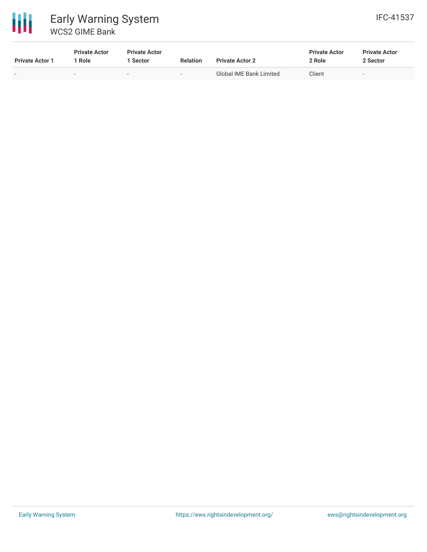

# 冊 Early Warning System WCS2 GIME Bank

| <b>Private Actor 1</b>   | <b>Private Actor</b><br>' Role | <b>Private Actor</b><br>Sector | <b>Relation</b>          | <b>Private Actor 2</b>         | <b>Private Actor</b><br>2 Role | <b>Private Actor</b><br>2 Sector |  |
|--------------------------|--------------------------------|--------------------------------|--------------------------|--------------------------------|--------------------------------|----------------------------------|--|
| $\overline{\phantom{0}}$ | $\overline{\phantom{a}}$       | $\overline{\phantom{0}}$       | $\overline{\phantom{0}}$ | <b>Global IME Bank Limited</b> | Client                         | $\overline{\phantom{0}}$         |  |